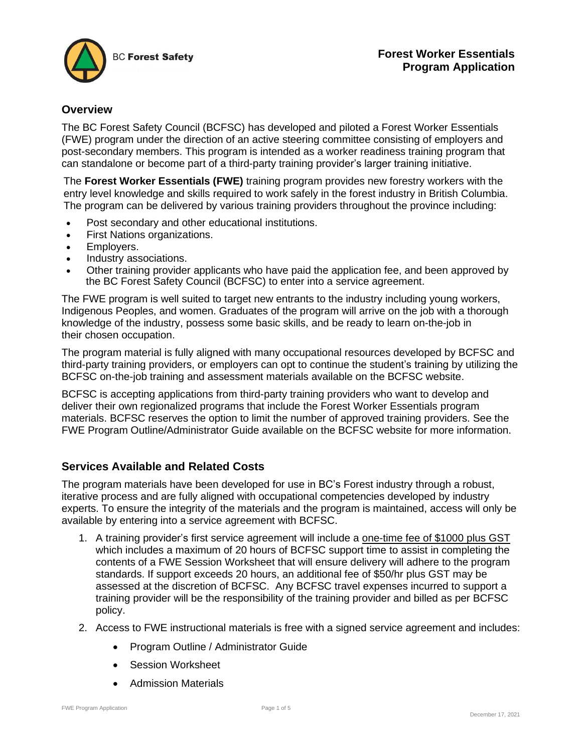

### **Overview**

The BC Forest Safety Council (BCFSC) has developed and piloted a Forest Worker Essentials (FWE) program under the direction of an active steering committee consisting of employers and post-secondary members. This program is intended as a worker readiness training program that can standalone or become part of a third-party training provider's larger training initiative.

The **Forest Worker Essentials (FWE)** training program provides new forestry workers with the entry level knowledge and skills required to work safely in the forest industry in British Columbia. The program can be delivered by various training providers throughout the province including:

- Post secondary and other educational institutions.
- First Nations organizations.
- Employers.
- Industry associations.
- Other training provider applicants who have paid the application fee, and been approved by the BC Forest Safety Council (BCFSC) to enter into a service agreement.

The FWE program is well suited to target new entrants to the industry including young workers, Indigenous Peoples, and women. Graduates of the program will arrive on the job with a thorough knowledge of the industry, possess some basic skills, and be ready to learn on-the-job in their chosen occupation.

The program material is fully aligned with many occupational resources developed by BCFSC and third-party training providers, or employers can opt to continue the student's training by utilizing the BCFSC on-the-job training and assessment materials available on the BCFSC website.

BCFSC is accepting applications from third-party training providers who want to develop and deliver their own regionalized programs that include the Forest Worker Essentials program materials. BCFSC reserves the option to limit the number of approved training providers. See the FWE Program Outline/Administrator Guide available on the BCFSC website for more information.

#### **Services Available and Related Costs**

The program materials have been developed for use in BC's Forest industry through a robust, iterative process and are fully aligned with occupational competencies developed by industry experts. To ensure the integrity of the materials and the program is maintained, access will only be available by entering into a service agreement with BCFSC.

- 1. A training provider's first service agreement will include a one-time fee of \$1000 plus GST which includes a maximum of 20 hours of BCFSC support time to assist in completing the contents of a FWE Session Worksheet that will ensure delivery will adhere to the program standards. If support exceeds 20 hours, an additional fee of \$50/hr plus GST may be assessed at the discretion of BCFSC. Any BCFSC travel expenses incurred to support a training provider will be the responsibility of the training provider and billed as per BCFSC policy.
- 2. Access to FWE instructional materials is free with a signed service agreement and includes:
	- Program Outline / Administrator Guide
	- Session Worksheet
	- Admission Materials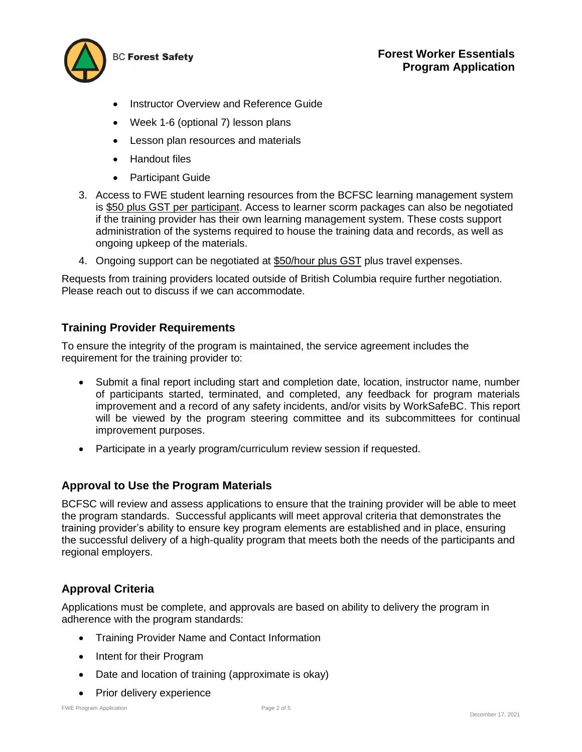

- Instructor Overview and Reference Guide
- Week 1-6 (optional 7) lesson plans
- Lesson plan resources and materials
- Handout files
- Participant Guide
- 3. Access to FWE student learning resources from the BCFSC learning management system is \$50 plus GST per participant. Access to learner scorm packages can also be negotiated if the training provider has their own learning management system. These costs support administration of the systems required to house the training data and records, as well as ongoing upkeep of the materials.
- 4. Ongoing support can be negotiated at \$50/hour plus GST plus travel expenses.

Requests from training providers located outside of British Columbia require further negotiation. Please reach out to discuss if we can accommodate.

# **Training Provider Requirements**

To ensure the integrity of the program is maintained, the service agreement includes the requirement for the training provider to:

- Submit a final report including start and completion date, location, instructor name, number of participants started, terminated, and completed, any feedback for program materials improvement and a record of any safety incidents, and/or visits by WorkSafeBC. This report will be viewed by the program steering committee and its subcommittees for continual improvement purposes.
- Participate in a yearly program/curriculum review session if requested.

# **Approval to Use the Program Materials**

BCFSC will review and assess applications to ensure that the training provider will be able to meet the program standards. Successful applicants will meet approval criteria that demonstrates the training provider's ability to ensure key program elements are established and in place, ensuring the successful delivery of a high-quality program that meets both the needs of the participants and regional employers.

# **Approval Criteria**

Applications must be complete, and approvals are based on ability to delivery the program in adherence with the program standards:

- Training Provider Name and Contact Information
- Intent for their Program
- Date and location of training (approximate is okay)
- Prior delivery experience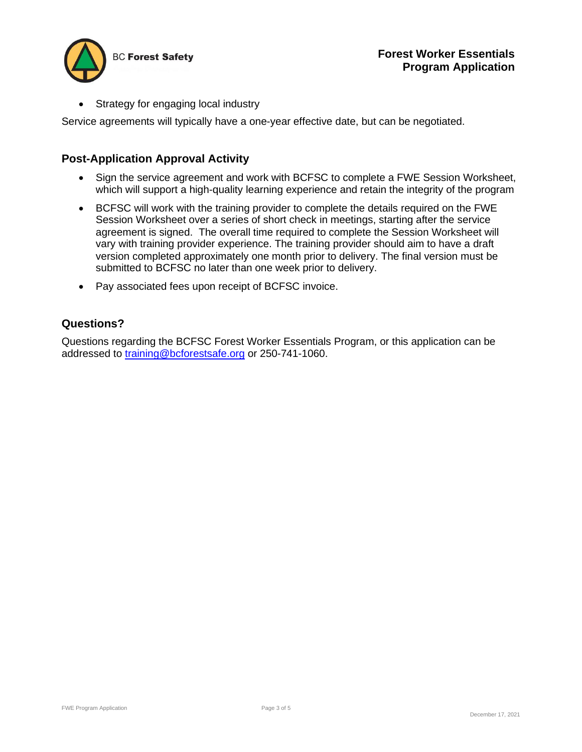

• Strategy for engaging local industry

Service agreements will typically have a one-year effective date, but can be negotiated.

## **Post-Application Approval Activity**

- Sign the service agreement and work with BCFSC to complete a FWE Session Worksheet, which will support a high-quality learning experience and retain the integrity of the program
- BCFSC will work with the training provider to complete the details required on the FWE Session Worksheet over a series of short check in meetings, starting after the service agreement is signed. The overall time required to complete the Session Worksheet will vary with training provider experience. The training provider should aim to have a draft version completed approximately one month prior to delivery. The final version must be submitted to BCFSC no later than one week prior to delivery.
- Pay associated fees upon receipt of BCFSC invoice.

### **Questions?**

Questions regarding the BCFSC Forest Worker Essentials Program, or this application can be addressed to training@bcforestsafe.org or 250-741-1060.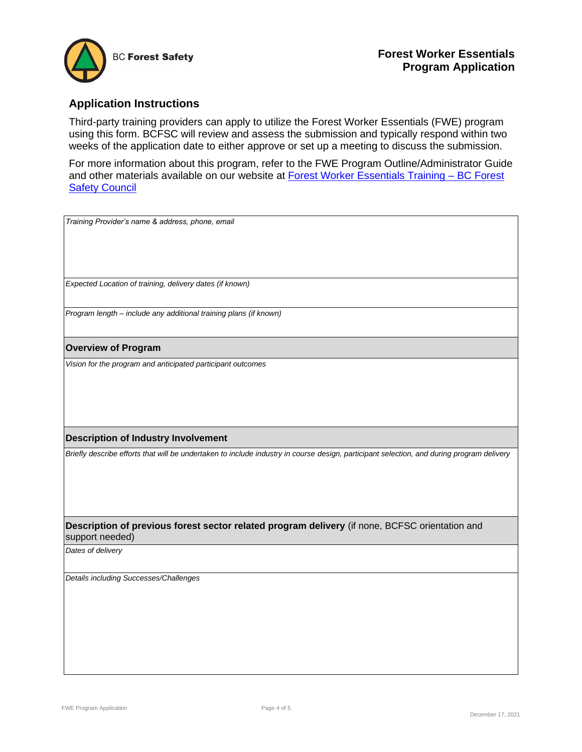

## **Application Instructions**

Third-party training providers can apply to utilize the Forest Worker Essentials (FWE) program using this form. BCFSC will review and assess the submission and typically respond within two weeks of the application date to either approve or set up a meeting to discuss the submission.

For more information about this program, refer to the FWE Program Outline/Administrator Guide and other materials available on our website at **Forest Worker Essentials Training - BC Forest** Safety Council

| Training Provider's name & address, phone, email                                                                                          |
|-------------------------------------------------------------------------------------------------------------------------------------------|
|                                                                                                                                           |
|                                                                                                                                           |
| Expected Location of training, delivery dates (if known)                                                                                  |
| Program length - include any additional training plans (if known)                                                                         |
| <b>Overview of Program</b>                                                                                                                |
| Vision for the program and anticipated participant outcomes                                                                               |
|                                                                                                                                           |
|                                                                                                                                           |
|                                                                                                                                           |
|                                                                                                                                           |
| <b>Description of Industry Involvement</b>                                                                                                |
| Briefly describe efforts that will be undertaken to include industry in course design, participant selection, and during program delivery |
|                                                                                                                                           |
|                                                                                                                                           |
|                                                                                                                                           |
| Description of previous forest sector related program delivery (if none, BCFSC orientation and<br>support needed)                         |
| Dates of delivery                                                                                                                         |
| Details including Successes/Challenges                                                                                                    |
|                                                                                                                                           |
|                                                                                                                                           |
|                                                                                                                                           |
|                                                                                                                                           |
|                                                                                                                                           |
|                                                                                                                                           |